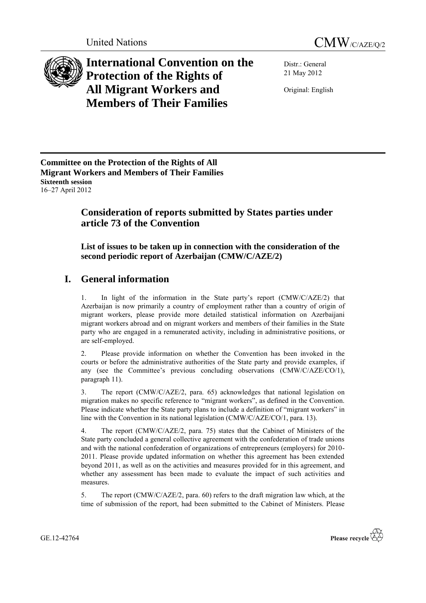



**International Convention on the Protection of the Rights of All Migrant Workers and Members of Their Families**

Distr.: General 21 May 2012

Original: English

**Committee on the Protection of the Rights of All Migrant Workers and Members of Their Families Sixteenth session** 16–27 April 2012

# **Consideration of reports submitted by States parties under article 73 of the Convention**

**List of issues to be taken up in connection with the consideration of the second periodic report of Azerbaijan (CMW/C/AZE/2)**

# **I. General information**

1. In light of the information in the State party's report (CMW/C/AZE/2) that Azerbaijan is now primarily a country of employment rather than a country of origin of migrant workers, please provide more detailed statistical information on Azerbaijani migrant workers abroad and on migrant workers and members of their families in the State party who are engaged in a remunerated activity, including in administrative positions, or are self-employed.

2. Please provide information on whether the Convention has been invoked in the courts or before the administrative authorities of the State party and provide examples, if any (see the Committee's previous concluding observations (CMW/C/AZE/CO/1), paragraph 11).

3. The report (CMW/C/AZE/2, para. 65) acknowledges that national legislation on migration makes no specific reference to "migrant workers", as defined in the Convention. Please indicate whether the State party plans to include a definition of "migrant workers" in line with the Convention in its national legislation (CMW/C/AZE/CO/1, para. 13).

4. The report (CMW/C/AZE/2, para. 75) states that the Cabinet of Ministers of the State party concluded a general collective agreement with the confederation of trade unions and with the national confederation of organizations of entrepreneurs (employers) for 2010- 2011. Please provide updated information on whether this agreement has been extended beyond 2011, as well as on the activities and measures provided for in this agreement, and whether any assessment has been made to evaluate the impact of such activities and measures.

5. The report (CMW/C/AZE/2, para. 60) refers to the draft migration law which, at the time of submission of the report, had been submitted to the Cabinet of Ministers. Please

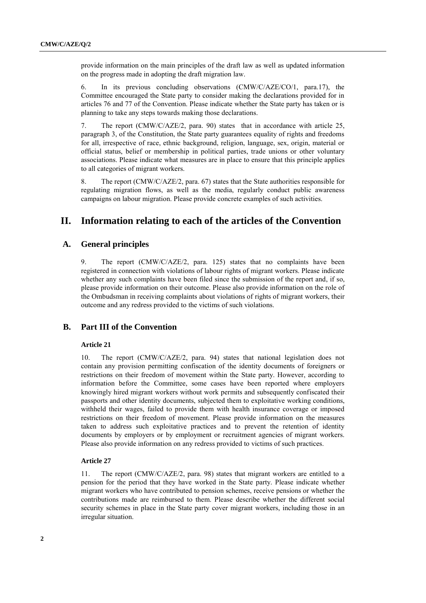provide information on the main principles of the draft law as well as updated information on the progress made in adopting the draft migration law.

6. In its previous concluding observations (CMW/C/AZE/CO/1, para.17), the Committee encouraged the State party to consider making the declarations provided for in articles 76 and 77 of the Convention. Please indicate whether the State party has taken or is planning to take any steps towards making those declarations.

7. The report (CMW/C/AZE/2, para. 90) states that in accordance with article 25, paragraph 3, of the Constitution, the State party guarantees equality of rights and freedoms for all, irrespective of race, ethnic background, religion, language, sex, origin, material or official status, belief or membership in political parties, trade unions or other voluntary associations. Please indicate what measures are in place to ensure that this principle applies to all categories of migrant workers.

8. The report (CMW/C/AZE/2, para. 67) states that the State authorities responsible for regulating migration flows, as well as the media, regularly conduct public awareness campaigns on labour migration. Please provide concrete examples of such activities.

## **II. Information relating to each of the articles of the Convention**

## **A. General principles**

9. The report (CMW/C/AZE/2, para. 125) states that no complaints have been registered in connection with violations of labour rights of migrant workers. Please indicate whether any such complaints have been filed since the submission of the report and, if so, please provide information on their outcome. Please also provide information on the role of the Ombudsman in receiving complaints about violations of rights of migrant workers, their outcome and any redress provided to the victims of such violations.

## **B. Part III of the Convention**

## **Article 21**

10. The report (CMW/C/AZE/2, para. 94) states that national legislation does not contain any provision permitting confiscation of the identity documents of foreigners or restrictions on their freedom of movement within the State party. However, according to information before the Committee, some cases have been reported where employers knowingly hired migrant workers without work permits and subsequently confiscated their passports and other identity documents, subjected them to exploitative working conditions, withheld their wages, failed to provide them with health insurance coverage or imposed restrictions on their freedom of movement. Please provide information on the measures taken to address such exploitative practices and to prevent the retention of identity documents by employers or by employment or recruitment agencies of migrant workers. Please also provide information on any redress provided to victims of such practices.

#### **Article 27**

11. The report (CMW/C/AZE/2, para. 98) states that migrant workers are entitled to a pension for the period that they have worked in the State party. Please indicate whether migrant workers who have contributed to pension schemes, receive pensions or whether the contributions made are reimbursed to them. Please describe whether the different social security schemes in place in the State party cover migrant workers, including those in an irregular situation.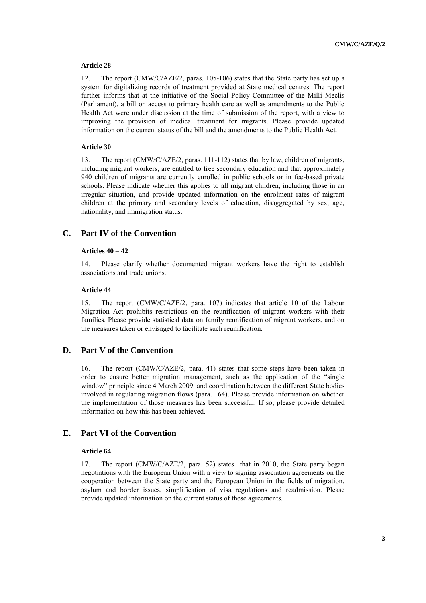#### **Article 28**

12. The report (CMW/C/AZE/2, paras. 105-106) states that the State party has set up a system for digitalizing records of treatment provided at State medical centres. The report further informs that at the initiative of the Social Policy Committee of the Milli Meclis (Parliament), a bill on access to primary health care as well as amendments to the Public Health Act were under discussion at the time of submission of the report, with a view to improving the provision of medical treatment for migrants. Please provide updated information on the current status of the bill and the amendments to the Public Health Act.

## **Article 30**

13. The report (CMW/C/AZE/2, paras. 111-112) states that by law, children of migrants, including migrant workers, are entitled to free secondary education and that approximately 940 children of migrants are currently enrolled in public schools or in fee-based private schools. Please indicate whether this applies to all migrant children, including those in an irregular situation, and provide updated information on the enrolment rates of migrant children at the primary and secondary levels of education, disaggregated by sex, age, nationality, and immigration status.

## **C. Part IV of the Convention**

#### **Articles 40 – 42**

14. Please clarify whether documented migrant workers have the right to establish associations and trade unions.

## **Article 44**

15. The report (CMW/C/AZE/2, para. 107) indicates that article 10 of the Labour Migration Act prohibits restrictions on the reunification of migrant workers with their families. Please provide statistical data on family reunification of migrant workers, and on the measures taken or envisaged to facilitate such reunification.

## **D. Part V of the Convention**

16. The report (CMW/C/AZE/2, para. 41) states that some steps have been taken in order to ensure better migration management, such as the application of the "single window" principle since 4 March 2009 and coordination between the different State bodies involved in regulating migration flows (para. 164). Please provide information on whether the implementation of those measures has been successful. If so, please provide detailed information on how this has been achieved.

## **E. Part VI of the Convention**

## **Article 64**

17. The report (CMW/C/AZE/2, para. 52) states that in 2010, the State party began negotiations with the European Union with a view to signing association agreements on the cooperation between the State party and the European Union in the fields of migration, asylum and border issues, simplification of visa regulations and readmission. Please provide updated information on the current status of these agreements.